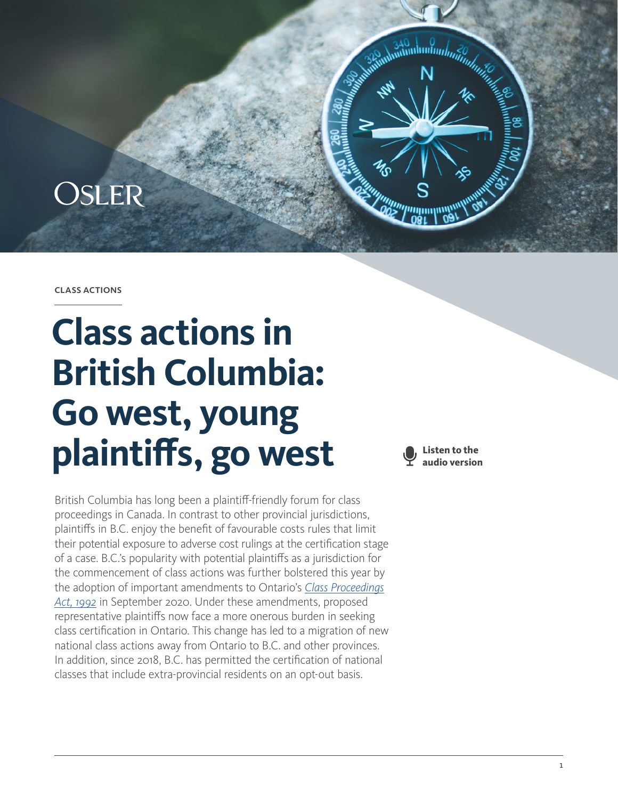

#### class actions

# **Class actions in British Columbia: Go west, young plaintiffs, go west**

British Columbia has long been a plaintiff-friendly forum for class proceedings in Canada. In contrast to other provincial jurisdictions, plaintiffs in B.C. enjoy the benefit of favourable costs rules that limit their potential exposure to adverse cost rulings at the certification stage of a case. B.C.'s popularity with potential plaintiffs as a jurisdiction for the commencement of class actions was further bolstered this year by the adoption of important amendments to Ontario's *[Class Proceedings](https://www.ontario.ca/laws/statute/92c06) [Act, 1992](https://www.ontario.ca/laws/statute/92c06)* in September 2020. Under these amendments, proposed representative plaintiffs now face a more onerous burden in seeking class certification in Ontario. This change has led to a migration of new national class actions away from Ontario to B.C. and other provinces. In addition, since 2018, B.C. has permitted the certification of national classes that include extra-provincial residents on an opt-out basis.

**Listen to the audio version**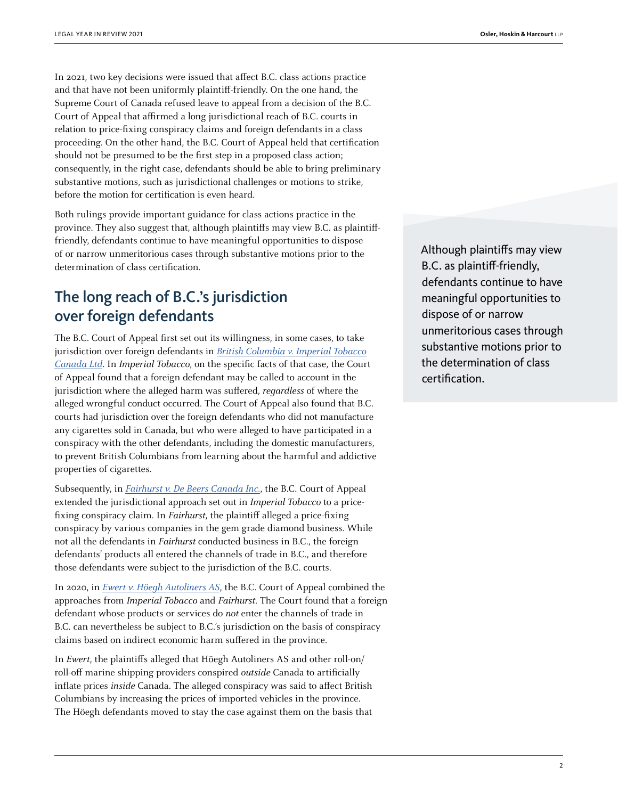In 2021, two key decisions were issued that affect B.C. class actions practice and that have not been uniformly plaintiff-friendly. On the one hand, the Supreme Court of Canada refused leave to appeal from a decision of the B.C. Court of Appeal that affirmed a long jurisdictional reach of B.C. courts in relation to price-fixing conspiracy claims and foreign defendants in a class proceeding. On the other hand, the B.C. Court of Appeal held that certification should not be presumed to be the first step in a proposed class action; consequently, in the right case, defendants should be able to bring preliminary substantive motions, such as jurisdictional challenges or motions to strike, before the motion for certification is even heard.

Both rulings provide important guidance for class actions practice in the province. They also suggest that, although plaintiffs may view B.C. as plaintifffriendly, defendants continue to have meaningful opportunities to dispose of or narrow unmeritorious cases through substantive motions prior to the determination of class certification.

## The long reach of B.C.'s jurisdiction over foreign defendants

The B.C. Court of Appeal first set out its willingness, in some cases, to take jurisdiction over foreign defendants in [British Columbia v. Imperial Tobacco](https://www.canlii.org/en/bc/bcca/doc/2006/2006bcca398/2006bcca398.html) [Canada Ltd](https://www.canlii.org/en/bc/bcca/doc/2006/2006bcca398/2006bcca398.html). In Imperial Tobacco, on the specific facts of that case, the Court of Appeal found that a foreign defendant may be called to account in the jurisdiction where the alleged harm was suffered, *regardless* of where the alleged wrongful conduct occurred. The Court of Appeal also found that B.C. courts had jurisdiction over the foreign defendants who did not manufacture any cigarettes sold in Canada, but who were alleged to have participated in a conspiracy with the other defendants, including the domestic manufacturers, to prevent British Columbians from learning about the harmful and addictive properties of cigarettes.

Subsequently, in [Fairhurst v. De Beers Canada Inc.](https://www.canlii.org/en/bc/bcca/doc/2012/2012bcca257/2012bcca257.html), the B.C. Court of Appeal extended the jurisdictional approach set out in Imperial Tobacco to a pricefixing conspiracy claim. In Fairhurst, the plaintiff alleged a price-fixing conspiracy by various companies in the gem grade diamond business. While not all the defendants in Fairhurst conducted business in B.C., the foreign defendants' products all entered the channels of trade in B.C., and therefore those defendants were subject to the jurisdiction of the B.C. courts.

In 2020, in [Ewert v. Höegh Autoliners AS](https://www.canlii.org/en/bc/bcca/doc/2020/2020bcca181/2020bcca181.html), the B.C. Court of Appeal combined the approaches from Imperial Tobacco and Fairhurst. The Court found that a foreign defendant whose products or services do not enter the channels of trade in B.C. can nevertheless be subject to B.C.'s jurisdiction on the basis of conspiracy claims based on indirect economic harm suffered in the province.

In Ewert, the plaintiffs alleged that Höegh Autoliners AS and other roll-on/ roll-off marine shipping providers conspired outside Canada to artificially inflate prices inside Canada. The alleged conspiracy was said to affect British Columbians by increasing the prices of imported vehicles in the province. The Höegh defendants moved to stay the case against them on the basis that

Although plaintiffs may view B.C. as plaintiff-friendly, defendants continue to have meaningful opportunities to dispose of or narrow unmeritorious cases through substantive motions prior to the determination of class certification.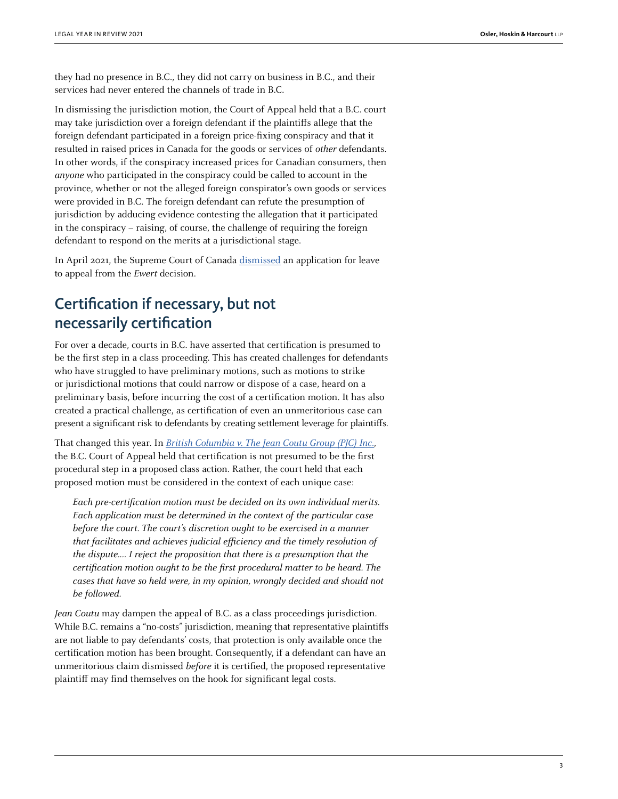they had no presence in B.C., they did not carry on business in B.C., and their services had never entered the channels of trade in B.C.

In dismissing the jurisdiction motion, the Court of Appeal held that a B.C. court may take jurisdiction over a foreign defendant if the plaintiffs allege that the foreign defendant participated in a foreign price-fixing conspiracy and that it resulted in raised prices in Canada for the goods or services of other defendants. In other words, if the conspiracy increased prices for Canadian consumers, then anyone who participated in the conspiracy could be called to account in the province, whether or not the alleged foreign conspirator's own goods or services were provided in B.C. The foreign defendant can refute the presumption of jurisdiction by adducing evidence contesting the allegation that it participated in the conspiracy – raising, of course, the challenge of requiring the foreign defendant to respond on the merits at a jurisdictional stage.

In April 2021, the Supreme Court of Canada [dismissed](https://www.canlii.org/en/ca/scc-l/doc/2021/2021canlii35002/2021canlii35002.html) an application for leave to appeal from the Ewert decision.

## Certification if necessary, but not necessarily certification

For over a decade, courts in B.C. have asserted that certification is presumed to be the first step in a class proceeding. This has created challenges for defendants who have struggled to have preliminary motions, such as motions to strike or jurisdictional motions that could narrow or dispose of a case, heard on a preliminary basis, before incurring the cost of a certification motion. It has also created a practical challenge, as certification of even an unmeritorious case can present a significant risk to defendants by creating settlement leverage for plaintiffs.

That changed this year. In *[British Columbia v. The Jean Coutu Group \(PJC\) Inc.](https://www.canlii.org/en/bc/bcca/doc/2021/2021bcca219/2021bcca219.html)*, the B.C. Court of Appeal held that certification is not presumed to be the first procedural step in a proposed class action. Rather, the court held that each proposed motion must be considered in the context of each unique case:

Each pre-certification motion must be decided on its own individual merits. Each application must be determined in the context of the particular case before the court. The court's discretion ought to be exercised in a manner that facilitates and achieves judicial efficiency and the timely resolution of the dispute.… I reject the proposition that there is a presumption that the certification motion ought to be the first procedural matter to be heard. The cases that have so held were, in my opinion, wrongly decided and should not be followed.

Jean Coutu may dampen the appeal of B.C. as a class proceedings jurisdiction. While B.C. remains a "no-costs" jurisdiction, meaning that representative plaintiffs are not liable to pay defendants' costs, that protection is only available once the certification motion has been brought. Consequently, if a defendant can have an unmeritorious claim dismissed before it is certified, the proposed representative plaintiff may find themselves on the hook for significant legal costs.